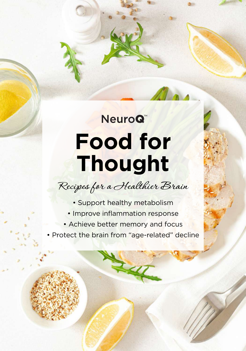# NeuroQ<sup>™</sup> **Food for Thought**



• Support healthy metabolism • Improve inflammation response • Achieve better memory and focus • Protect the brain from "age-related" decline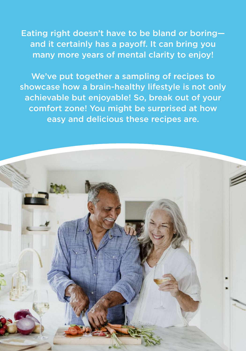Eating right doesn't have to be bland or boring and it certainly has a payoff. It can bring you many more years of mental clarity to enjoy!

We've put together a sampling of recipes to showcase how a brain-healthy lifestyle is not only achievable but enjoyable! So, break out of your comfort zone! You might be surprised at how easy and delicious these recipes are.

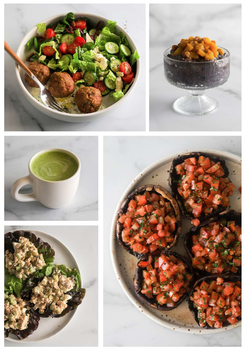





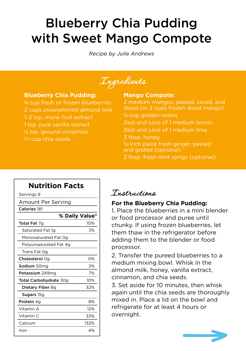## Blueberry Chia Pudding with Sweet Mango Compote

*Recipe by Julie Andrews*



#### **Blueberry Chia Pudding:**

¾ cup fresh or frozen blueberries 2 cups unsweetened almond milk 1–2 tsp. monk fruit extract 1 tsp. pure vanilla extract ½ tsp. ground cinnamon ⅔ cup chia seeds

#### **Mango Compote:** 2 medium mangos, peeled, cored, and diced (or 2 cups frozen diced mango) ¼ cup golden raisins Zest and juice of 1 medium lemon Zest and juice of 1 medium lime 3 tbsp. honey ½-inch piece fresh ginger, peeled and grated (optional) 2 tbsp. fresh mint sprigs (optional)

### **Nutrition Facts**

Servings 8

| <b>Amount Per Serving</b> |      |
|---------------------------|------|
| Calories 181              |      |
| % Daily Value*            |      |
| Total Fat 7g              | 10%  |
| Saturated Fat 1g          | 3%   |
| Monosaturated Fat Og      |      |
| Polyunsaturated Fat 4g    |      |
| Trans Fat Og              |      |
| Cholesterol Og            | 0%   |
| <b>Sodium</b> 50mg        | 2%   |
| Potassium 249mg           | 7%   |
| Total Carbohydrate 30g    | 10%  |
| Dietary Fiber 8g          | 32%  |
| <b>Sugars</b> 15g         |      |
| <b>Protein 4g</b>         | 8%   |
| Vitamin A                 | 12%  |
| Vitamin C                 | 33%  |
| Calcium                   | 132% |
| Iron                      | 4%   |

## **Instructions**

#### **For the Blueberry Chia Pudding:**

1. Place the blueberries in a mini blender or food processor and puree until chunky. If using frozen blueberries, let them thaw in the refrigerator before adding them to the blender or food processor.

2. Transfer the pureed blueberries to a medium mixing bowl. Whisk in the almond milk, honey, vanilla extract, cinnamon, and chia seeds.

3. Set aside for 10 minutes, then whisk again until the chia seeds are thoroughly mixed in. Place a lid on the bowl and refrigerate for at least 4 hours or overnight.

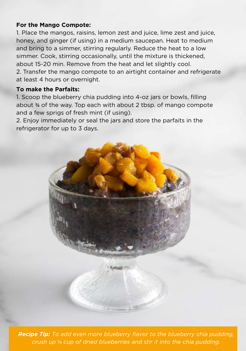#### **For the Mango Compote:**

1. Place the mangos, raisins, lemon zest and juice, lime zest and juice, honey, and ginger (if using) in a medium saucepan. Heat to medium and bring to a simmer, stirring regularly. Reduce the heat to a low simmer. Cook, stirring occasionally, until the mixture is thickened, about 15-20 min. Remove from the heat and let slightly cool. 2. Transfer the mango compote to an airtight container and refrigerate at least 4 hours or overnight.

#### **To make the Parfaits:**

1. Scoop the blueberry chia pudding into 4-oz jars or bowls, filling about ¾ of the way. Top each with about 2 tbsp. of mango compote and a few sprigs of fresh mint (if using).

2. Enjoy immediately or seal the jars and store the parfaits in the refrigerator for up to 3 days.



*Recipe Tip: To add even more blueberry flavor to the blueberry chia pudding, crush up* ¼ *cup of dried blueberries and stir it into the chia pudding.*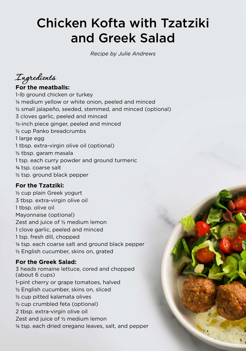## Chicken Kofta with Tzatziki and Greek Salad

*Recipe by Julie Andrews*

**Ingredients**

**For the meatballs:**

1-lb ground chicken or turkey ¼ medium yellow or white onion, peeled and minced ½ small jalapeño, seeded, stemmed, and minced (optional) 3 cloves garlic, peeled and minced ½-inch piece ginger, peeled and minced ½ cup Panko breadcrumbs 1 large egg 1 tbsp. extra-virgin olive oil (optional) ½ tbsp. garam masala 1 tsp. each curry powder and ground turmeric ¾ tsp. coarse salt ½ tsp. ground black pepper

#### **For the Tzatziki:**

½ cup plain Greek yogurt 3 tbsp. extra-virgin olive oil 1 tbsp. olive oil Mayonnaise (optional) Zest and juice of ½ medium lemon 1 clove garlic, peeled and minced 1 tsp. fresh dill, chopped ¼ tsp. each coarse salt and ground black pepper ½ English cucumber, skins on, grated

#### **For the Greek Salad:**

3 heads romaine lettuce, cored and chopped (about 6 cups) 1-pint cherry or grape tomatoes, halved ½ English cucumber, skins on, sliced ½ cup pitted kalamata olives ½ cup crumbled feta (optional) 2 tbsp. extra-virgin olive oil Zest and juice of ½ medium lemon ¼ tsp. each dried oregano leaves, salt, and pepper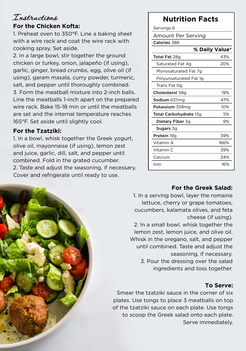### **Instructions For the Chicken Kofta:**

1. Preheat oven to 350°F. Line a baking sheet with a wire rack and coat the wire rack with cooking spray. Set aside.

2. In a large bowl, stir together the ground chicken or turkey, onion, jalapeño (if using), garlic, ginger, bread crumbs, egg, olive oil (if using), garam masala, curry powder, turmeric, salt, and pepper until thoroughly combined. 3. Form the meatball mixture into 2-inch balls. Line the meatballs 1-inch apart on the prepared wire rack. Bake 15-18 min or until the meatballs are set and the internal temperature reaches 165°F. Set aside until slightly cool.

#### **For the Tzatziki:**

1. In a bowl, whisk together the Greek yogurt, olive oil, mayonnaise (if using), lemon zest and juice, garlic, dill, salt, and pepper until combined. Fold in the grated cucumber. 2. Taste and adjust the seasoning, if necessary. Cover and refrigerate until ready to use.

## **Nutrition Facts**

| Servings 6                |                |
|---------------------------|----------------|
| <b>Amount Per Serving</b> |                |
| Calories 388              |                |
|                           | % Daily Value* |
| <b>Total Fat</b> 28g      | 43%            |
| Saturated Fat 4g          | 20%            |
| Monosaturated Fat 7g      |                |
| Polyunsaturated Fat 1g    |                |
| Trans Fat Og              |                |
| Cholesterol 58g           | 19%            |
| <b>Sodium</b> 637mg       | 47%            |
| <b>Potassium 358mg</b>    | 10%            |
| Total Carbohydrate 15g    | 5%             |
| Dietary Fiber 3g          | 9%             |
| <b>Sugars</b> 3g          |                |
| <b>Protein 19g</b>        | 39%            |
| Vitamin A                 | 166%           |
| Vitamin C                 | 39%            |
| Calcium                   | 24%            |
| Iron                      | 16%            |
|                           |                |

### **For the Greek Salad:**

1. In a serving bowl, layer the romaine lettuce, cherry or grape tomatoes, cucumbers, kalamata olives, and feta cheese (if using).

2. In a small bowl, whisk together the lemon zest, lemon juice, and olive oil. Whisk in the oregano, salt, and pepper until combined. Taste and adjust the seasoning, if necessary.

3. Pour the dressing over the salad ingredients and toss together.

#### **To Serve:**

Smear the tzatziki sauce in the corner of six plates. Use tongs to place 3 meatballs on top of the tzatziki sauce on each plate. Use tongs to scoop the Greek salad onto each plate. Serve immediately.

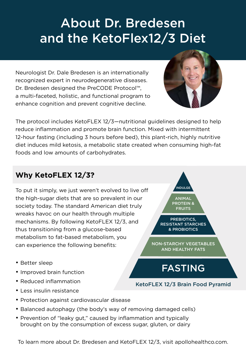## About Dr. Bredesen and the KetoFlex12/3 Diet

Neurologist Dr. Dale Bredesen is an internationally recognized expert in neurodegenerative diseases. Dr. Bredesen designed the PreCODE Protocol™, a multi-faceted, holistic, and functional program to enhance cognition and prevent cognitive decline.



The protocol includes KetoFLEX 12/3—nutritional guidelines designed to help reduce inflammation and promote brain function. Mixed with intermittent 12-hour fasting (including 3 hours before bed), this plant-rich, highly nutritive diet induces mild ketosis, a metabolic state created when consuming high-fat foods and low amounts of carbohydrates.

## **Why KetoFLEX 12/3?**

To put it simply, we just weren't evolved to live off the high-sugar diets that are so prevalent in our society today. The standard American diet truly wreaks havoc on our health through multiple mechanisms. By following KetoFLEX 12/3, and thus transitioning from a glucose-based metabolism to fat-based metabolism, you can experience the following benefits:

- Better sleep
- Improved brain function
- Reduced inflammation
- Less insulin resistance
- Protection against cardiovascular disease
- Balanced autophagy (the body's way of removing damaged cells)
- Prevention of "leaky gut," caused by inflammation and typically brought on by the consumption of excess sugar, gluten, or dairy



To learn more about Dr. Bredesen and KetoFLEX 12/3, visit apollohealthco.com.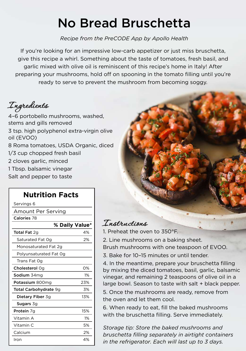## No Bread Bruschetta

### *Recipe from the PreCODE App by Apollo Health*

If you're looking for an impressive low-carb appetizer or just miss bruschetta, give this recipe a whirl. Something about the taste of tomatoes, fresh basil, and garlic mixed with olive oil is reminiscent of this recipe's home in Italy! After preparing your mushrooms, hold off on spooning in the tomato filling until you're ready to serve to prevent the mushroom from becoming soggy.

**Ingredients**

4–6 portobello mushrooms, washed, stems and gills removed 3 tsp. high polyphenol extra-virgin olive oil (EVOO) 8 Roma tomatoes, USDA Organic, diced 1/3 cup chopped fresh basil 2 cloves garlic, minced 1 Tbsp. balsamic vinegar Salt and pepper to taste

### **Nutrition Facts**

Servings 6

 $\overline{C}$ alories 78

Amount Per Serving

| ס כסווטופי                   |                |
|------------------------------|----------------|
|                              | % Daily Value* |
| <b>Total Fat 2g</b>          | 4%             |
| Saturated Fat Og             | 2%             |
| Monosaturated Fat 2g         |                |
| Polyunsaturated Fat Og       |                |
| Trans Fat Oq                 |                |
| Cholesterol Og               | 0%             |
| Sodium 34mg                  | 1%             |
| Potassium 800mg              | 23%            |
| <b>Total Carbohydrate 9g</b> | 3%             |
| Dietary Fiber 3g             | 13%            |
| <b>Sugars</b> 3g             |                |
| <b>Protein 7g</b>            | 15%            |
| Vitamin A                    | 1%             |
| Vitamin C                    | 5%             |
| Calcium                      | 2%             |
| Iron                         | 4%             |



## **Instructions**

1. Preheat the oven to 350°F.

2. Line mushrooms on a baking sheet.

Brush mushrooms with one teaspoon of EVOO.

3. Bake for 10–15 minutes or until tender.

4. In the meantime, prepare your bruschetta filling by mixing the diced tomatoes, basil, garlic, balsamic vinegar, and remaining 2 teaspoons of olive oil in a large bowl. Season to taste with salt + black pepper.

5. Once the mushrooms are ready, remove from the oven and let them cool.

6. When ready to eat, fill the baked mushrooms with the bruschetta filling. Serve immediately.

*Storage tip: Store the baked mushrooms and bruschetta filling separately in airtight containers in the refrigerator. Each will last up to 3 days.*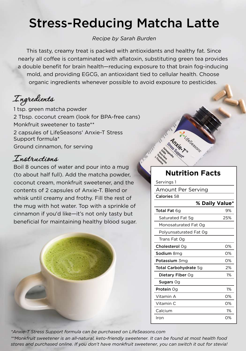## Stress-Reducing Matcha Latte

#### *Recipe by Sarah Burden*

 This tasty, creamy treat is packed with antioxidants and healthy fat. Since nearly all coffee is contaminated with aflatoxin, substituting green tea provides a double benefit for brain health—reducing exposure to that brain fog-inducing mold, and providing EGCG, an antioxidant tied to cellular health. Choose organic ingredients whenever possible to avoid exposure to pesticides.

**Ingredients**

1 tsp. green matcha powder 2 Tbsp. coconut cream (look for BPA-free cans) Monkfruit sweetener to taste\*\* 2 capsules of LifeSeasons' Anxie-T Stress Support formula\* Ground cinnamon, for serving

### **Instructions**

Boil 8 ounces of water and pour into a mug (to about half full). Add the matcha powder, coconut cream, monkfruit sweetener, and the contents of 2 capsules of Anxie-T. Blend or whisk until creamy and frothy. Fill the rest of the mug with hot water. Top with a sprinkle of cinnamon if you'd like—it's not only tasty but beneficial for maintaining healthy blood sugar.



| <b>Nutrition Facts</b>       |     |
|------------------------------|-----|
| Servings 1                   |     |
| <b>Amount Per Serving</b>    |     |
| Calories 58                  |     |
| % Daily Value*               |     |
| <b>Total Fat</b> 6g          | 9%  |
| Saturated Fat 5q             | 25% |
| Monosaturated Fat Og         |     |
| Polyunsaturated Fat Og       |     |
| Trans Fat Og                 |     |
| Cholesterol Og               | 0%  |
| <b>Sodium</b> 8mg            | 0%  |
| Potassium 3mg                | 0%  |
| <b>Total Carbohydrate 5g</b> | 2%  |
| Dietary Fiber Og             | 1%  |
| <b>Sugars Og</b>             |     |
| <b>Protein Og</b>            | 1%  |
| Vitamin A                    | 0%  |
| Vitamin C                    | 0%  |
| Calcium                      | 1%  |
| Iron                         | 0%  |

**LifeSeasons** 

*\*Anxie-T Stress Support formula can be purchased on LifeSeasons.com*

*\*\*Monkfruit sweetener is an all-natural, keto-friendly sweetener. It can be found at most health food stores and purchased online. If you don't have monkfruit sweetener, you can switch it out for stevia!*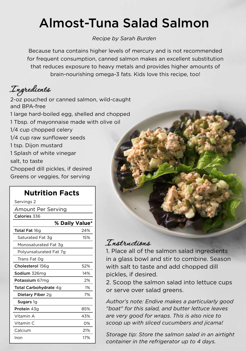## Almost-Tuna Salad Salmon

*Recipe by Sarah Burden*

Because tuna contains higher levels of mercury and is not recommended for frequent consumption, canned salmon makes an excellent substitution that reduces exposure to heavy metals and provides higher amounts of brain-nourishing omega-3 fats. Kids love this recipe, too!

**Ingredients**

2-oz pouched or canned salmon, wild-caught and BPA-free 1 large hard-boiled egg, shelled and chopped 1 Tbsp. of mayonnaise made with olive oil 1/4 cup chopped celery 1/4 cup raw sunflower seeds 1 tsp. Dijon mustard 1 Splash of white vinegar salt, to taste Chopped dill pickles, if desired Greens or veggies, for serving

### **Nutrition Facts**

| Servings 2                |     |
|---------------------------|-----|
| <b>Amount Per Serving</b> |     |
| Calories 336              |     |
| % Daily Value*            |     |
| <b>Total Fat</b> 16g      | 24% |
| Saturated Fat 3g          | 15% |
| Monosaturated Fat 3g      |     |
| Polyunsaturated Fat 7g    |     |
| Trans Fat Og              |     |
| Cholesterol 156g          | 52% |
| Sodium 326mg              | 14% |
| Potassium 67mg            | 2%  |
| Total Carbohydrate 4g     | 1%  |
| Dietary Fiber 2g          | 7%  |
| <b>Sugars</b> 1g          |     |
| <b>Protein</b> 43g        | 85% |
| Vitamin A                 | 43% |
| Vitamin C                 | 0%  |
| Calcium                   | 21% |
| Iron                      | 17% |
|                           |     |



## **Instructions**

1. Place all of the salmon salad ingredients in a glass bowl and stir to combine. Season with salt to taste and add chopped dill pickles, if desired.

2. Scoop the salmon salad into lettuce cups or serve over salad greens.

*Author's note: Endive makes a particularly good "boat" for this salad, and butter lettuce leaves are very good for wraps. This is also nice to scoop up with sliced cucumbers and jicama!*

*Storage tip: Store the salmon salad in an airtight container in the refrigerator up to 4 days.*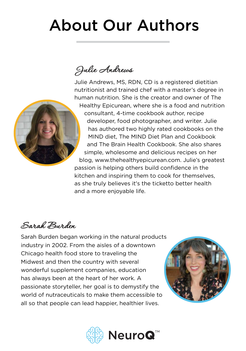# About Our Authors

## **Julie Andrews**

Julie Andrews, MS, RDN, CD is a registered dietitian nutritionist and trained chef with a master's degree in human nutrition. She is the creator and owner of The Healthy Epicurean, where she is a food and nutrition consultant, 4-time cookbook author, recipe developer, food photographer, and writer. Julie has authored two highly rated cookbooks on the MIND diet, The MIND Diet Plan and Cookbook and The Brain Health Cookbook. She also shares simple, wholesome and delicious recipes on her blog, www.thehealthyepicurean.com. Julie's greatest passion is helping others build confidence in the kitchen and inspiring them to cook for themselves, as she truly believes it's the ticketto better health and a more enjoyable life.

## **Sarah Burden**

Sarah Burden began working in the natural products industry in 2002. From the aisles of a downtown Chicago health food store to traveling the Midwest and then the country with several wonderful supplement companies, education has always been at the heart of her work. A passionate storyteller, her goal is to demystify the world of nutraceuticals to make them accessible to all so that people can lead happier, healthier lives.



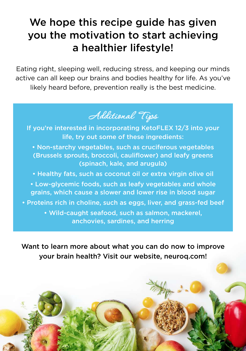## We hope this recipe guide has given you the motivation to start achieving a healthier lifestyle!

Eating right, sleeping well, reducing stress, and keeping our minds active can all keep our brains and bodies healthy for life. As you've likely heard before, prevention really is the best medicine.



If you're interested in incorporating KetoFLEX 12/3 into your life, try out some of these ingredients:

- Non-starchy vegetables, such as cruciferous vegetables (Brussels sprouts, broccoli, cauliflower) and leafy greens (spinach, kale, and arugula)
- Healthy fats, such as coconut oil or extra virgin olive oil
- Low-glycemic foods, such as leafy vegetables and whole grains, which cause a slower and lower rise in blood sugar
- Proteins rich in choline, such as eggs, liver, and grass-fed beef

• Wild-caught seafood, such as salmon, mackerel, anchovies, sardines, and herring

Want to learn more about what you can do now to improve your brain health? Visit our website, neuroq.com!